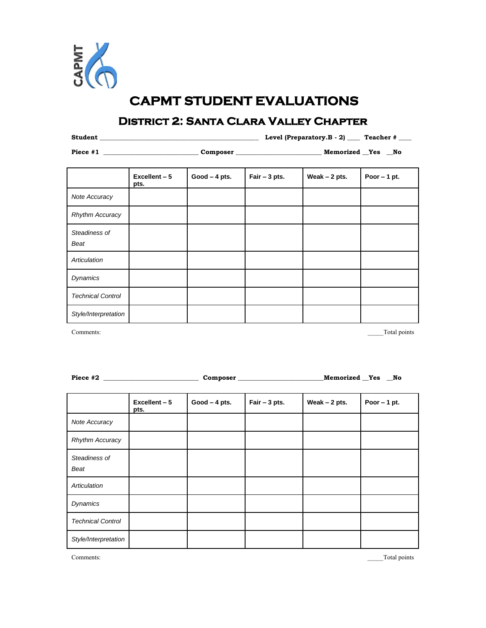

## **CAPMT STUDENT EVALUATIONS**

## **District 2: Santa Clara Valley Chapter**

**Student \_\_\_\_\_\_\_\_\_\_\_\_\_\_\_\_\_\_\_\_\_\_\_\_\_\_\_\_\_\_\_\_\_\_\_\_\_\_\_\_\_\_\_\_\_\_\_\_\_\_ Level (Preparatory.B - 2)** *\_\_\_\_* **Teacher # \_\_\_\_**

**Piece #1 \_\_\_\_\_\_\_\_\_\_\_\_\_\_\_\_\_\_\_\_\_\_\_\_\_\_\_\_\_\_ Composer \_\_\_\_\_\_\_\_\_\_\_\_\_\_\_\_\_\_\_\_\_\_\_\_\_\_\_ Memorized \_\_Yes \_\_No** 

|                          | Excellent - 5<br>pts. | $Good - 4 pts.$ | Fair $-3$ pts. | Weak $-2$ pts. | Poor $-1$ pt. |
|--------------------------|-----------------------|-----------------|----------------|----------------|---------------|
| Note Accuracy            |                       |                 |                |                |               |
| <b>Rhythm Accuracy</b>   |                       |                 |                |                |               |
| Steadiness of<br>Beat    |                       |                 |                |                |               |
| Articulation             |                       |                 |                |                |               |
| <b>Dynamics</b>          |                       |                 |                |                |               |
| <b>Technical Control</b> |                       |                 |                |                |               |
| Style/Interpretation     |                       |                 |                |                |               |

Comments: Total points

| Piece #2 | Composer | Memorized | Yes | No. |
|----------|----------|-----------|-----|-----|
|          |          |           |     |     |

|                          | Excellent - 5<br>pts. | $Good - 4 pts.$ | Fair $-3$ pts. | Weak $-2$ pts. | Poor $-1$ pt. |
|--------------------------|-----------------------|-----------------|----------------|----------------|---------------|
| Note Accuracy            |                       |                 |                |                |               |
| <b>Rhythm Accuracy</b>   |                       |                 |                |                |               |
| Steadiness of<br>Beat    |                       |                 |                |                |               |
| Articulation             |                       |                 |                |                |               |
| <b>Dynamics</b>          |                       |                 |                |                |               |
| <b>Technical Control</b> |                       |                 |                |                |               |
| Style/Interpretation     |                       |                 |                |                |               |

Comments: Total points